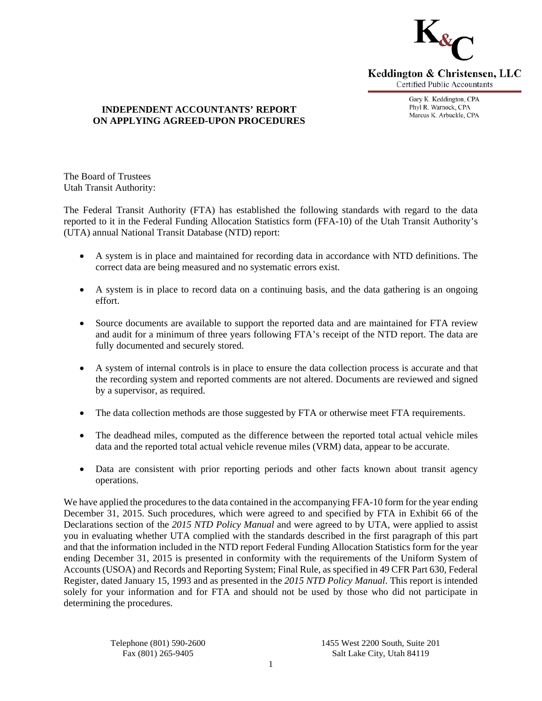

Keddington & Christensen, LLC **Certified Public Accountants** 

> Gary K. Keddington, CPA Phyl R. Warnock, CPA Marcus K. Arbuckle, CPA

#### **INDEPENDENT ACCOUNTANTS' REPORT ON APPLYING AGREED-UPON PROCEDURES**

The Board of Trustees Utah Transit Authority:

The Federal Transit Authority (FTA) has established the following standards with regard to the data reported to it in the Federal Funding Allocation Statistics form (FFA-10) of the Utah Transit Authority's (UTA) annual National Transit Database (NTD) report:

- A system is in place and maintained for recording data in accordance with NTD definitions. The correct data are being measured and no systematic errors exist.
- A system is in place to record data on a continuing basis, and the data gathering is an ongoing effort.
- Source documents are available to support the reported data and are maintained for FTA review and audit for a minimum of three years following FTA's receipt of the NTD report. The data are fully documented and securely stored.
- A system of internal controls is in place to ensure the data collection process is accurate and that the recording system and reported comments are not altered. Documents are reviewed and signed by a supervisor, as required.
- The data collection methods are those suggested by FTA or otherwise meet FTA requirements.
- The deadhead miles, computed as the difference between the reported total actual vehicle miles data and the reported total actual vehicle revenue miles (VRM) data, appear to be accurate.
- Data are consistent with prior reporting periods and other facts known about transit agency operations.

We have applied the procedures to the data contained in the accompanying FFA-10 form for the year ending December 31, 2015. Such procedures, which were agreed to and specified by FTA in Exhibit 66 of the Declarations section of the *2015 NTD Policy Manual* and were agreed to by UTA, were applied to assist you in evaluating whether UTA complied with the standards described in the first paragraph of this part and that the information included in the NTD report Federal Funding Allocation Statistics form for the year ending December 31, 2015 is presented in conformity with the requirements of the Uniform System of Accounts (USOA) and Records and Reporting System; Final Rule, as specified in 49 CFR Part 630, Federal Register, dated January 15, 1993 and as presented in the *2015 NTD Policy Manual*. This report is intended solely for your information and for FTA and should not be used by those who did not participate in determining the procedures.

 Telephone (801) 590-2600 1455 West 2200 South, Suite 201 Fax (801) 265-9405 Salt Lake City, Utah 84119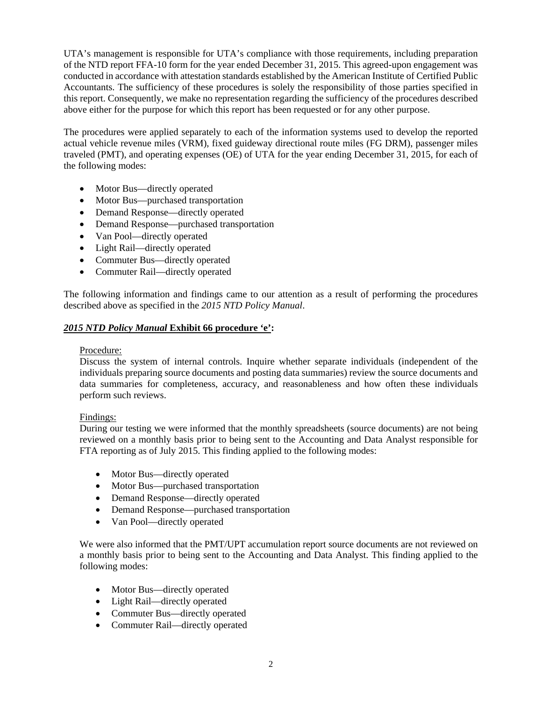UTA's management is responsible for UTA's compliance with those requirements, including preparation of the NTD report FFA-10 form for the year ended December 31, 2015. This agreed-upon engagement was conducted in accordance with attestation standards established by the American Institute of Certified Public Accountants. The sufficiency of these procedures is solely the responsibility of those parties specified in this report. Consequently, we make no representation regarding the sufficiency of the procedures described above either for the purpose for which this report has been requested or for any other purpose.

The procedures were applied separately to each of the information systems used to develop the reported actual vehicle revenue miles (VRM), fixed guideway directional route miles (FG DRM), passenger miles traveled (PMT), and operating expenses (OE) of UTA for the year ending December 31, 2015, for each of the following modes:

- Motor Bus—directly operated
- Motor Bus—purchased transportation
- Demand Response—directly operated
- Demand Response—purchased transportation
- Van Pool—directly operated
- Light Rail—directly operated
- Commuter Bus—directly operated
- Commuter Rail—directly operated

The following information and findings came to our attention as a result of performing the procedures described above as specified in the *2015 NTD Policy Manual*.

## *2015 NTD Policy Manual* **Exhibit 66 procedure 'e':**

### Procedure:

Discuss the system of internal controls. Inquire whether separate individuals (independent of the individuals preparing source documents and posting data summaries) review the source documents and data summaries for completeness, accuracy, and reasonableness and how often these individuals perform such reviews.

### Findings:

During our testing we were informed that the monthly spreadsheets (source documents) are not being reviewed on a monthly basis prior to being sent to the Accounting and Data Analyst responsible for FTA reporting as of July 2015. This finding applied to the following modes:

- Motor Bus—directly operated
- Motor Bus—purchased transportation
- Demand Response—directly operated
- Demand Response—purchased transportation
- Van Pool—directly operated

We were also informed that the PMT/UPT accumulation report source documents are not reviewed on a monthly basis prior to being sent to the Accounting and Data Analyst. This finding applied to the following modes:

- Motor Bus—directly operated
- Light Rail—directly operated
- Commuter Bus—directly operated
- Commuter Rail—directly operated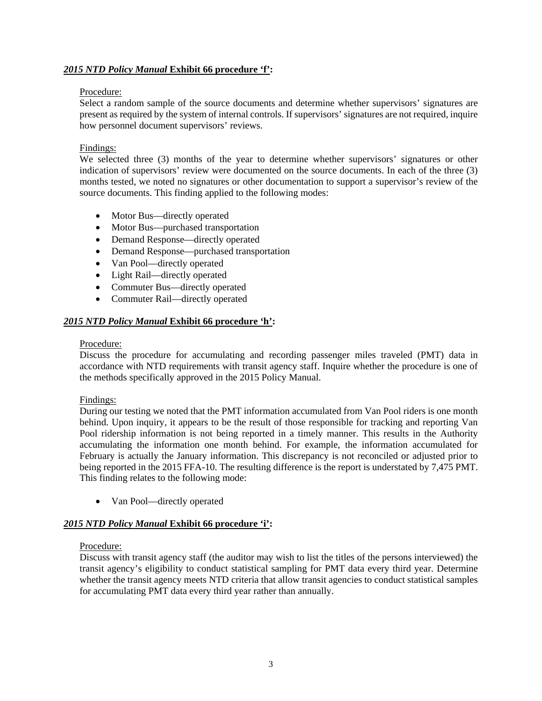## *2015 NTD Policy Manual* **Exhibit 66 procedure 'f':**

#### Procedure:

Select a random sample of the source documents and determine whether supervisors' signatures are present as required by the system of internal controls. If supervisors' signatures are not required, inquire how personnel document supervisors' reviews.

#### Findings:

We selected three (3) months of the year to determine whether supervisors' signatures or other indication of supervisors' review were documented on the source documents. In each of the three (3) months tested, we noted no signatures or other documentation to support a supervisor's review of the source documents. This finding applied to the following modes:

- Motor Bus—directly operated
- Motor Bus—purchased transportation
- Demand Response—directly operated
- Demand Response—purchased transportation
- Van Pool—directly operated
- Light Rail—directly operated
- Commuter Bus—directly operated
- Commuter Rail—directly operated

# *2015 NTD Policy Manual* **Exhibit 66 procedure 'h':**

#### Procedure:

Discuss the procedure for accumulating and recording passenger miles traveled (PMT) data in accordance with NTD requirements with transit agency staff. Inquire whether the procedure is one of the methods specifically approved in the 2015 Policy Manual.

### Findings:

During our testing we noted that the PMT information accumulated from Van Pool riders is one month behind. Upon inquiry, it appears to be the result of those responsible for tracking and reporting Van Pool ridership information is not being reported in a timely manner. This results in the Authority accumulating the information one month behind. For example, the information accumulated for February is actually the January information. This discrepancy is not reconciled or adjusted prior to being reported in the 2015 FFA-10. The resulting difference is the report is understated by 7,475 PMT. This finding relates to the following mode:

• Van Pool—directly operated

### *2015 NTD Policy Manual* **Exhibit 66 procedure 'i':**

### Procedure:

Discuss with transit agency staff (the auditor may wish to list the titles of the persons interviewed) the transit agency's eligibility to conduct statistical sampling for PMT data every third year. Determine whether the transit agency meets NTD criteria that allow transit agencies to conduct statistical samples for accumulating PMT data every third year rather than annually.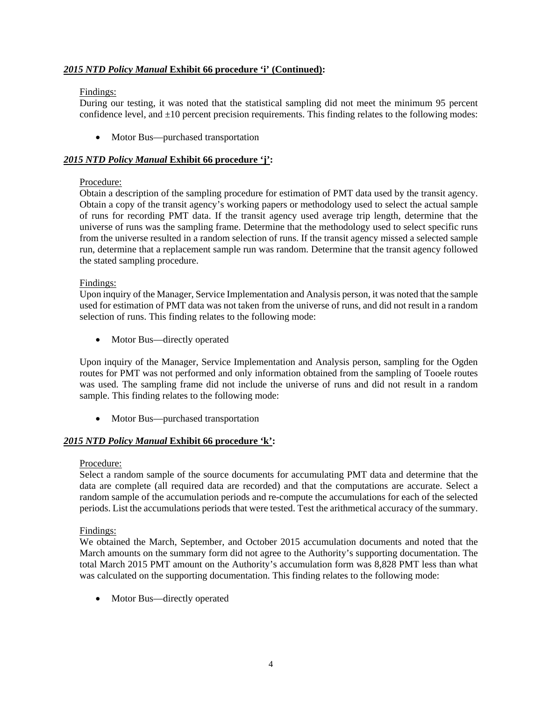## *2015 NTD Policy Manual* **Exhibit 66 procedure 'i' (Continued):**

### Findings:

During our testing, it was noted that the statistical sampling did not meet the minimum 95 percent confidence level, and  $\pm 10$  percent precision requirements. This finding relates to the following modes:

• Motor Bus—purchased transportation

### *2015 NTD Policy Manual* **Exhibit 66 procedure 'j':**

## Procedure:

Obtain a description of the sampling procedure for estimation of PMT data used by the transit agency. Obtain a copy of the transit agency's working papers or methodology used to select the actual sample of runs for recording PMT data. If the transit agency used average trip length, determine that the universe of runs was the sampling frame. Determine that the methodology used to select specific runs from the universe resulted in a random selection of runs. If the transit agency missed a selected sample run, determine that a replacement sample run was random. Determine that the transit agency followed the stated sampling procedure.

### Findings:

Upon inquiry of the Manager, Service Implementation and Analysis person, it was noted that the sample used for estimation of PMT data was not taken from the universe of runs, and did not result in a random selection of runs. This finding relates to the following mode:

• Motor Bus—directly operated

Upon inquiry of the Manager, Service Implementation and Analysis person, sampling for the Ogden routes for PMT was not performed and only information obtained from the sampling of Tooele routes was used. The sampling frame did not include the universe of runs and did not result in a random sample. This finding relates to the following mode:

• Motor Bus—purchased transportation

# *2015 NTD Policy Manual* **Exhibit 66 procedure 'k':**

### Procedure:

Select a random sample of the source documents for accumulating PMT data and determine that the data are complete (all required data are recorded) and that the computations are accurate. Select a random sample of the accumulation periods and re-compute the accumulations for each of the selected periods. List the accumulations periods that were tested. Test the arithmetical accuracy of the summary.

### Findings:

We obtained the March, September, and October 2015 accumulation documents and noted that the March amounts on the summary form did not agree to the Authority's supporting documentation. The total March 2015 PMT amount on the Authority's accumulation form was 8,828 PMT less than what was calculated on the supporting documentation. This finding relates to the following mode:

• Motor Bus—directly operated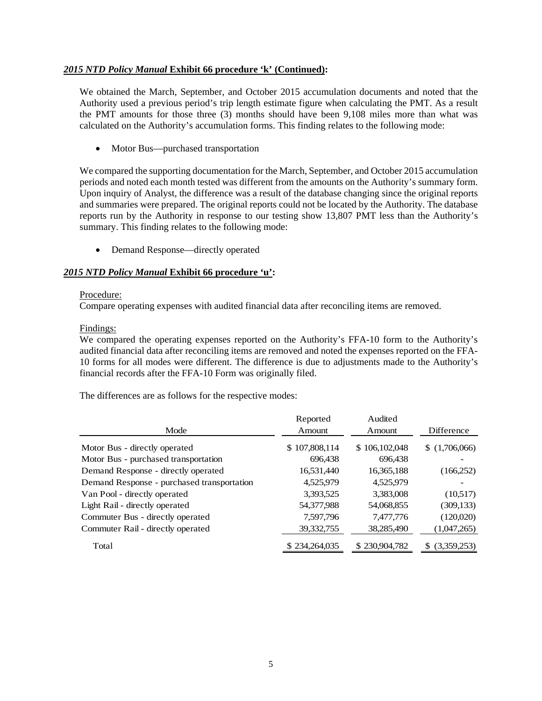### *2015 NTD Policy Manual* **Exhibit 66 procedure 'k' (Continued):**

We obtained the March, September, and October 2015 accumulation documents and noted that the Authority used a previous period's trip length estimate figure when calculating the PMT. As a result the PMT amounts for those three (3) months should have been 9,108 miles more than what was calculated on the Authority's accumulation forms. This finding relates to the following mode:

• Motor Bus—purchased transportation

We compared the supporting documentation for the March, September, and October 2015 accumulation periods and noted each month tested was different from the amounts on the Authority's summary form. Upon inquiry of Analyst, the difference was a result of the database changing since the original reports and summaries were prepared. The original reports could not be located by the Authority. The database reports run by the Authority in response to our testing show 13,807 PMT less than the Authority's summary. This finding relates to the following mode:

• Demand Response—directly operated

## *2015 NTD Policy Manual* **Exhibit 66 procedure 'u':**

#### Procedure:

Compare operating expenses with audited financial data after reconciling items are removed.

### Findings:

We compared the operating expenses reported on the Authority's FFA-10 form to the Authority's audited financial data after reconciling items are removed and noted the expenses reported on the FFA-10 forms for all modes were different. The difference is due to adjustments made to the Authority's financial records after the FFA-10 Form was originally filed.

The differences are as follows for the respective modes:

|                                            | Reported      | Audited       |               |
|--------------------------------------------|---------------|---------------|---------------|
| Mode                                       | Amount        | Amount        | Difference    |
| Motor Bus - directly operated              | \$107,808,114 | \$106,102,048 | \$(1,706,066) |
| Motor Bus - purchased transportation       | 696,438       | 696,438       |               |
| Demand Response - directly operated        | 16,531,440    | 16,365,188    | (166,252)     |
| Demand Response - purchased transportation | 4,525,979     | 4,525,979     |               |
| Van Pool - directly operated               | 3,393,525     | 3,383,008     | (10,517)      |
| Light Rail - directly operated             | 54,377,988    | 54,068,855    | (309, 133)    |
| Commuter Bus - directly operated           | 7,597,796     | 7,477,776     | (120,020)     |
| Commuter Rail - directly operated          | 39,332,755    | 38,285,490    | (1,047,265)   |
| Total                                      | \$234,264,035 | \$230,904,782 | (3,359,253)   |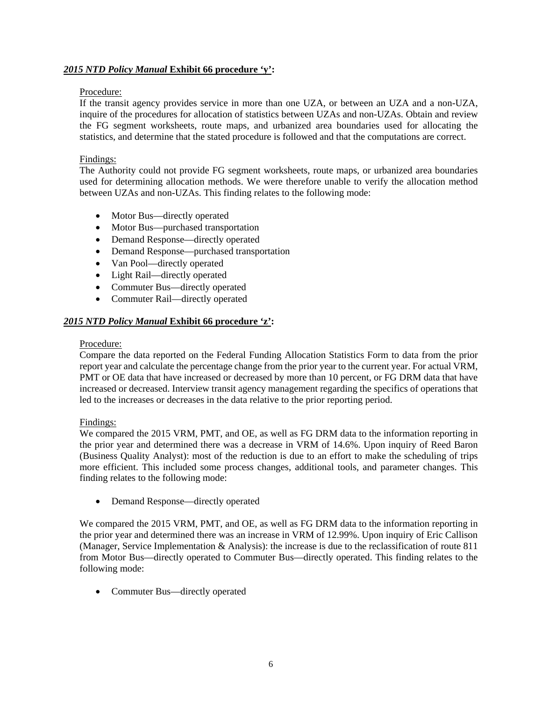## *2015 NTD Policy Manual* **Exhibit 66 procedure 'y':**

### Procedure:

If the transit agency provides service in more than one UZA, or between an UZA and a non-UZA, inquire of the procedures for allocation of statistics between UZAs and non-UZAs. Obtain and review the FG segment worksheets, route maps, and urbanized area boundaries used for allocating the statistics, and determine that the stated procedure is followed and that the computations are correct.

### Findings:

The Authority could not provide FG segment worksheets, route maps, or urbanized area boundaries used for determining allocation methods. We were therefore unable to verify the allocation method between UZAs and non-UZAs. This finding relates to the following mode:

- Motor Bus—directly operated
- Motor Bus—purchased transportation
- Demand Response—directly operated
- Demand Response—purchased transportation
- Van Pool—directly operated
- Light Rail—directly operated
- Commuter Bus—directly operated
- Commuter Rail—directly operated

# *2015 NTD Policy Manual* **Exhibit 66 procedure 'z':**

#### Procedure:

Compare the data reported on the Federal Funding Allocation Statistics Form to data from the prior report year and calculate the percentage change from the prior year to the current year. For actual VRM, PMT or OE data that have increased or decreased by more than 10 percent, or FG DRM data that have increased or decreased. Interview transit agency management regarding the specifics of operations that led to the increases or decreases in the data relative to the prior reporting period.

Findings:

We compared the 2015 VRM, PMT, and OE, as well as FG DRM data to the information reporting in the prior year and determined there was a decrease in VRM of 14.6%. Upon inquiry of Reed Baron (Business Quality Analyst): most of the reduction is due to an effort to make the scheduling of trips more efficient. This included some process changes, additional tools, and parameter changes. This finding relates to the following mode:

Demand Response—directly operated

We compared the 2015 VRM, PMT, and OE, as well as FG DRM data to the information reporting in the prior year and determined there was an increase in VRM of 12.99%. Upon inquiry of Eric Callison (Manager, Service Implementation & Analysis): the increase is due to the reclassification of route 811 from Motor Bus—directly operated to Commuter Bus—directly operated. This finding relates to the following mode:

• Commuter Bus—directly operated